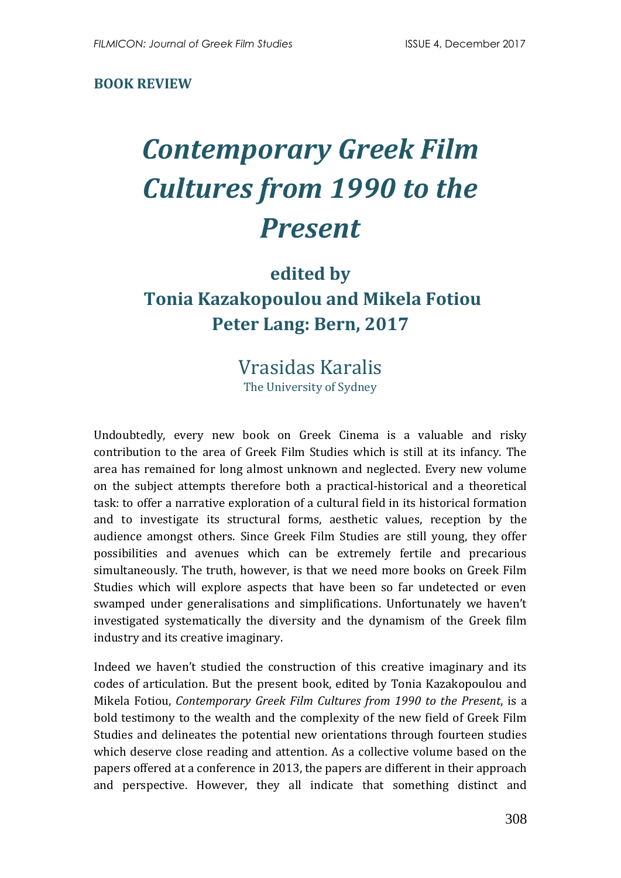### **BOOK REVIEW**

# *Contemporary Greek Film Cultures from 1990 to the Present*

# **edited by Tonia Kazakopoulou and Mikela Fotiou Peter Lang: Bern, 2017**

## Vrasidas Karalis The University of Sydney

Undoubtedly, every new book on Greek Cinema is a valuable and risky contribution to the area of Greek Film Studies which is still at its infancy. The area has remained for long almost unknown and neglected. Every new volume on the subject attempts therefore both a practical-historical and a theoretical task: to offer a narrative exploration of a cultural field in its historical formation and to investigate its structural forms, aesthetic values, reception by the audience amongst others. Since Greek Film Studies are still young, they offer possibilities and avenues which can be extremely fertile and precarious simultaneously. The truth, however, is that we need more books on Greek Film Studies which will explore aspects that have been so far undetected or even swamped under generalisations and simplifications. Unfortunately we haven't investigated systematically the diversity and the dynamism of the Greek film industry and its creative imaginary.

Indeed we haven't studied the construction of this creative imaginary and its codes of articulation. But the present book, edited by Tonia Kazakopoulou and Mikela Fotiou, *Contemporary Greek Film Cultures from 1990 to the Present*, is a bold testimony to the wealth and the complexity of the new field of Greek Film Studies and delineates the potential new orientations through fourteen studies which deserve close reading and attention. As a collective volume based on the papers offered at a conference in 2013, the papers are different in their approach and perspective. However, they all indicate that something distinct and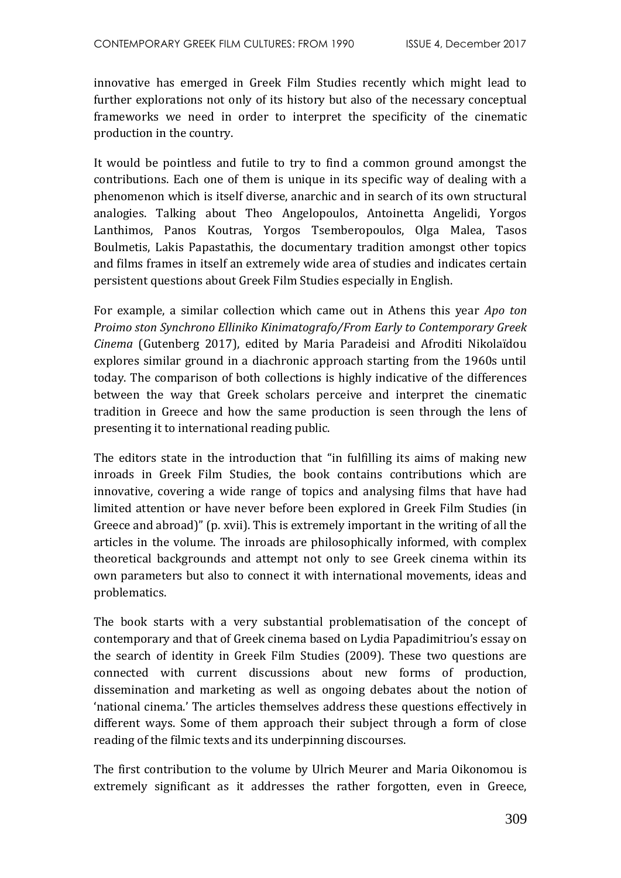innovative has emerged in Greek Film Studies recently which might lead to further explorations not only of its history but also of the necessary conceptual frameworks we need in order to interpret the specificity of the cinematic production in the country.

It would be pointless and futile to try to find a common ground amongst the contributions. Each one of them is unique in its specific way of dealing with a phenomenon which is itself diverse, anarchic and in search of its own structural analogies. Talking about Theo Angelopoulos, Antoinetta Angelidi, Yorgos Lanthimos, Panos Koutras, Yorgos Tsemberopoulos, Olga Malea, Tasos Boulmetis, Lakis Papastathis, the documentary tradition amongst other topics and films frames in itself an extremely wide area of studies and indicates certain persistent questions about Greek Film Studies especially in English.

For example, a similar collection which came out in Athens this year *Apo ton Proimo ston Synchrono Elliniko Kinimatografo/From Early to Contemporary Greek Cinema* (Gutenberg 2017), edited by Maria Paradeisi and Afroditi Nikolaïdou explores similar ground in a diachronic approach starting from the 1960s until today. The comparison of both collections is highly indicative of the differences between the way that Greek scholars perceive and interpret the cinematic tradition in Greece and how the same production is seen through the lens of presenting it to international reading public.

The editors state in the introduction that "in fulfilling its aims of making new inroads in Greek Film Studies, the book contains contributions which are innovative, covering a wide range of topics and analysing films that have had limited attention or have never before been explored in Greek Film Studies (in Greece and abroad)" (p. xvii). This is extremely important in the writing of all the articles in the volume. The inroads are philosophically informed, with complex theoretical backgrounds and attempt not only to see Greek cinema within its own parameters but also to connect it with international movements, ideas and problematics.

The book starts with a very substantial problematisation of the concept of contemporary and that of Greek cinema based on Lydia Papadimitriou's essay on the search of identity in Greek Film Studies (2009). These two questions are connected with current discussions about new forms of production, dissemination and marketing as well as ongoing debates about the notion of 'national cinema.' The articles themselves address these questions effectively in different ways. Some of them approach their subject through a form of close reading of the filmic texts and its underpinning discourses.

The first contribution to the volume by Ulrich Meurer and Maria Oikonomou is extremely significant as it addresses the rather forgotten, even in Greece,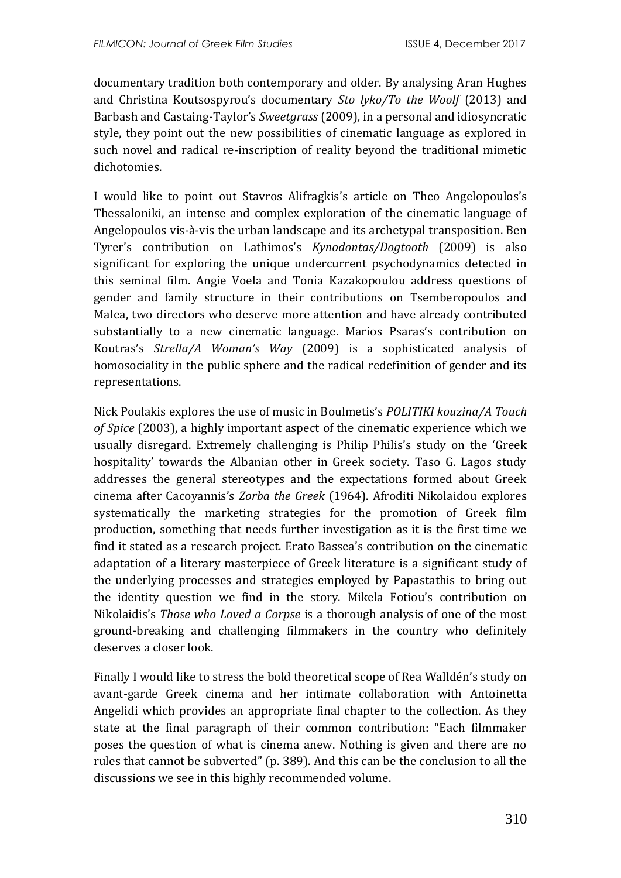documentary tradition both contemporary and older. By analysing Aran Hughes and Christina Koutsospyrou's documentary *Sto lyko/To the Woolf* (2013) and Barbash and Castaing-Taylor's *Sweetgrass* (2009)*,* in a personal and idiosyncratic style, they point out the new possibilities of cinematic language as explored in such novel and radical re-inscription of reality beyond the traditional mimetic dichotomies.

I would like to point out Stavros Alifragkis's article on Theo Angelopoulos's Thessaloniki, an intense and complex exploration of the cinematic language of Angelopoulos vis-à-vis the urban landscape and its archetypal transposition. Ben Tyrer's contribution on Lathimos's *Kynodontas/Dogtooth* (2009) is also significant for exploring the unique undercurrent psychodynamics detected in this seminal film. Angie Voela and Tonia Kazakopoulou address questions of gender and family structure in their contributions on Tsemberopoulos and Malea, two directors who deserve more attention and have already contributed substantially to a new cinematic language. Marios Psaras's contribution on Koutras's *Strella/A Woman's Way* (2009) is a sophisticated analysis of homosociality in the public sphere and the radical redefinition of gender and its representations.

Nick Poulakis explores the use of music in Boulmetis's *POLITIKI kouzina/A Touch of Spice* (2003), a highly important aspect of the cinematic experience which we usually disregard. Extremely challenging is Philip Philis's study on the 'Greek hospitality' towards the Albanian other in Greek society. Taso G. Lagos study addresses the general stereotypes and the expectations formed about Greek cinema after Cacoyannis's *Zorba the Greek* (1964). Afroditi Nikolaidou explores systematically the marketing strategies for the promotion of Greek film production, something that needs further investigation as it is the first time we find it stated as a research project. Erato Bassea's contribution on the cinematic adaptation of a literary masterpiece of Greek literature is a significant study of the underlying processes and strategies employed by Papastathis to bring out the identity question we find in the story. Mikela Fotiou's contribution on Nikolaidis's *Those who Loved a Corpse* is a thorough analysis of one of the most ground-breaking and challenging filmmakers in the country who definitely deserves a closer look.

Finally I would like to stress the bold theoretical scope of Rea Walldén's study on avant-garde Greek cinema and her intimate collaboration with Antoinetta Angelidi which provides an appropriate final chapter to the collection. As they state at the final paragraph of their common contribution: "Each filmmaker poses the question of what is cinema anew. Nothing is given and there are no rules that cannot be subverted" (p. 389). And this can be the conclusion to all the discussions we see in this highly recommended volume.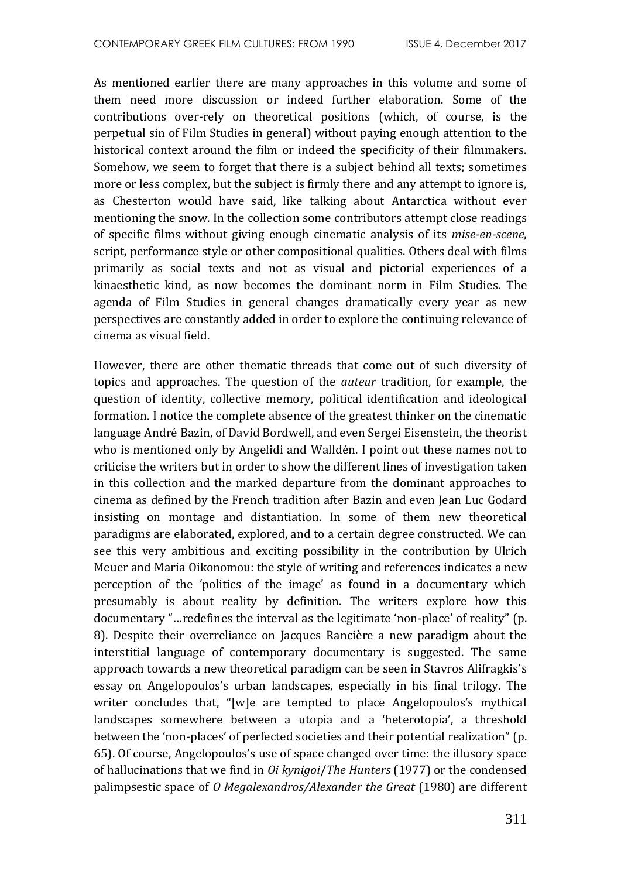As mentioned earlier there are many approaches in this volume and some of them need more discussion or indeed further elaboration. Some of the contributions over-rely on theoretical positions (which, of course, is the perpetual sin of Film Studies in general) without paying enough attention to the historical context around the film or indeed the specificity of their filmmakers. Somehow, we seem to forget that there is a subject behind all texts; sometimes more or less complex, but the subject is firmly there and any attempt to ignore is, as Chesterton would have said, like talking about Antarctica without ever mentioning the snow. In the collection some contributors attempt close readings of specific films without giving enough cinematic analysis of its *mise-en-scene*, script, performance style or other compositional qualities. Others deal with films primarily as social texts and not as visual and pictorial experiences of a kinaesthetic kind, as now becomes the dominant norm in Film Studies. The agenda of Film Studies in general changes dramatically every year as new perspectives are constantly added in order to explore the continuing relevance of cinema as visual field.

However, there are other thematic threads that come out of such diversity of topics and approaches. The question of the *auteur* tradition, for example, the question of identity, collective memory, political identification and ideological formation. I notice the complete absence of the greatest thinker on the cinematic language André Bazin, of David Bordwell, and even Sergei Eisenstein, the theorist who is mentioned only by Angelidi and Walldén. I point out these names not to criticise the writers but in order to show the different lines of investigation taken in this collection and the marked departure from the dominant approaches to cinema as defined by the French tradition after Bazin and even Jean Luc Godard insisting on montage and distantiation. In some of them new theoretical paradigms are elaborated, explored, and to a certain degree constructed. We can see this very ambitious and exciting possibility in the contribution by Ulrich Meuer and Maria Oikonomou: the style of writing and references indicates a new perception of the 'politics of the image' as found in a documentary which presumably is about reality by definition. The writers explore how this documentary "…redefines the interval as the legitimate 'non-place' of reality" (p. 8). Despite their overreliance on Jacques Rancière a new paradigm about the interstitial language of contemporary documentary is suggested. The same approach towards a new theoretical paradigm can be seen in Stavros Alifragkis's essay on Angelopoulos's urban landscapes, especially in his final trilogy. The writer concludes that, "[w]e are tempted to place Angelopoulos's mythical landscapes somewhere between a utopia and a 'heterotopia', a threshold between the 'non-places' of perfected societies and their potential realization" (p. 65). Of course, Angelopoulos's use of space changed over time: the illusory space of hallucinations that we find in *Oi kynigoi*/*The Hunters* (1977) or the condensed palimpsestic space of *O Megalexandros/Alexander the Great* (1980) are different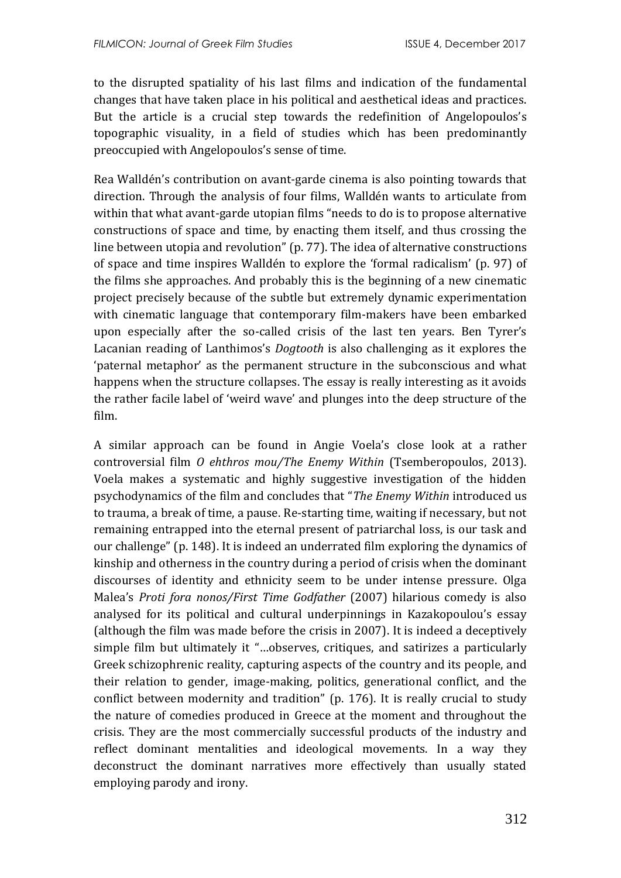to the disrupted spatiality of his last films and indication of the fundamental changes that have taken place in his political and aesthetical ideas and practices. But the article is a crucial step towards the redefinition of Angelopoulos's topographic visuality, in a field of studies which has been predominantly preoccupied with Angelopoulos's sense of time.

Rea Walldén's contribution on avant-garde cinema is also pointing towards that direction. Through the analysis of four films, Walldén wants to articulate from within that what avant-garde utopian films "needs to do is to propose alternative constructions of space and time, by enacting them itself, and thus crossing the line between utopia and revolution" (p. 77). The idea of alternative constructions of space and time inspires Walldén to explore the 'formal radicalism' (p. 97) of the films she approaches. And probably this is the beginning of a new cinematic project precisely because of the subtle but extremely dynamic experimentation with cinematic language that contemporary film-makers have been embarked upon especially after the so-called crisis of the last ten years. Ben Tyrer's Lacanian reading of Lanthimos's *Dogtooth* is also challenging as it explores the 'paternal metaphor' as the permanent structure in the subconscious and what happens when the structure collapses. The essay is really interesting as it avoids the rather facile label of 'weird wave' and plunges into the deep structure of the film.

A similar approach can be found in Angie Voela's close look at a rather controversial film *O ehthros mou/The Enemy Within* (Tsemberopoulos, 2013). Voela makes a systematic and highly suggestive investigation of the hidden psychodynamics of the film and concludes that "*The Enemy Within* introduced us to trauma, a break of time, a pause. Re-starting time, waiting if necessary, but not remaining entrapped into the eternal present of patriarchal loss, is our task and our challenge" (p. 148). It is indeed an underrated film exploring the dynamics of kinship and otherness in the country during a period of crisis when the dominant discourses of identity and ethnicity seem to be under intense pressure. Olga Malea's *Proti fora nonos/First Time Godfather* (2007) hilarious comedy is also analysed for its political and cultural underpinnings in Kazakopoulou's essay (although the film was made before the crisis in 2007). It is indeed a deceptively simple film but ultimately it "…observes, critiques, and satirizes a particularly Greek schizophrenic reality, capturing aspects of the country and its people, and their relation to gender, image-making, politics, generational conflict, and the conflict between modernity and tradition" (p. 176). It is really crucial to study the nature of comedies produced in Greece at the moment and throughout the crisis. They are the most commercially successful products of the industry and reflect dominant mentalities and ideological movements. In a way they deconstruct the dominant narratives more effectively than usually stated employing parody and irony.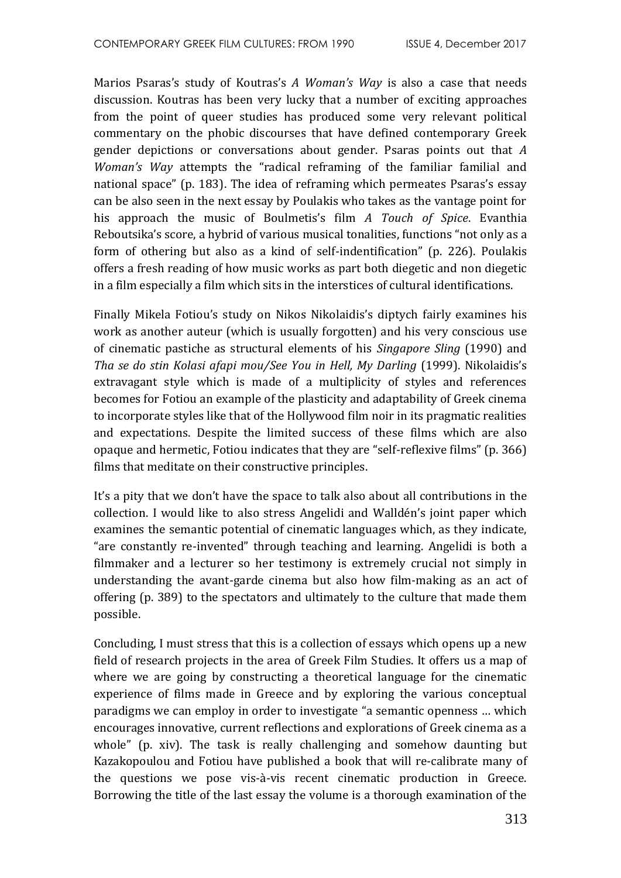Marios Psaras's study of Koutras's *A Woman's Way* is also a case that needs discussion. Koutras has been very lucky that a number of exciting approaches from the point of queer studies has produced some very relevant political commentary on the phobic discourses that have defined contemporary Greek gender depictions or conversations about gender. Psaras points out that *A Woman's Way* attempts the "radical reframing of the familiar familial and national space" (p. 183). The idea of reframing which permeates Psaras's essay can be also seen in the next essay by Poulakis who takes as the vantage point for his approach the music of Boulmetis's film *A Touch of Spice*. Evanthia Reboutsika's score, a hybrid of various musical tonalities, functions "not only as a form of othering but also as a kind of self-indentification" (p. 226). Poulakis offers a fresh reading of how music works as part both diegetic and non diegetic in a film especially a film which sits in the interstices of cultural identifications.

Finally Mikela Fotiou's study on Nikos Nikolaidis's diptych fairly examines his work as another auteur (which is usually forgotten) and his very conscious use of cinematic pastiche as structural elements of his *Singapore Sling* (1990) and *Tha se do stin Kolasi afapi mou/See You in Hell, My Darling* (1999). Nikolaidis's extravagant style which is made of a multiplicity of styles and references becomes for Fotiou an example of the plasticity and adaptability of Greek cinema to incorporate styles like that of the Hollywood film noir in its pragmatic realities and expectations. Despite the limited success of these films which are also opaque and hermetic, Fotiou indicates that they are "self-reflexive films" (p. 366) films that meditate on their constructive principles.

It's a pity that we don't have the space to talk also about all contributions in the collection. I would like to also stress Angelidi and Walldén's joint paper which examines the semantic potential of cinematic languages which, as they indicate, "are constantly re-invented" through teaching and learning. Angelidi is both a filmmaker and a lecturer so her testimony is extremely crucial not simply in understanding the avant-garde cinema but also how film-making as an act of offering (p. 389) to the spectators and ultimately to the culture that made them possible.

Concluding, I must stress that this is a collection of essays which opens up a new field of research projects in the area of Greek Film Studies. It offers us a map of where we are going by constructing a theoretical language for the cinematic experience of films made in Greece and by exploring the various conceptual paradigms we can employ in order to investigate "a semantic openness … which encourages innovative, current reflections and explorations of Greek cinema as a whole" (p. xiv). The task is really challenging and somehow daunting but Kazakopoulou and Fotiou have published a book that will re-calibrate many of the questions we pose vis-à-vis recent cinematic production in Greece. Borrowing the title of the last essay the volume is a thorough examination of the